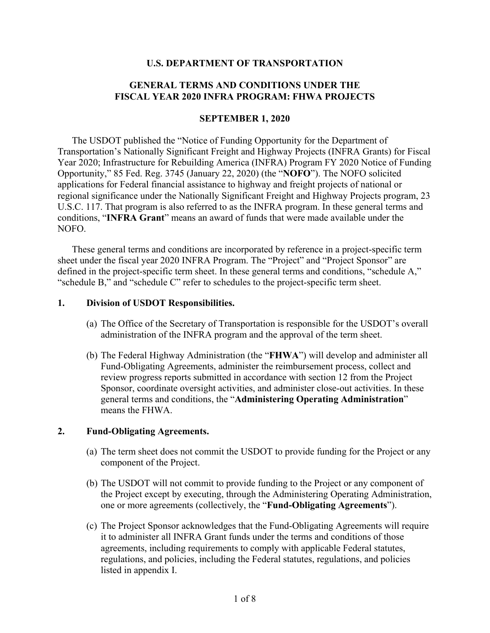#### **U.S. DEPARTMENT OF TRANSPORTATION**

## **GENERAL TERMS AND CONDITIONS UNDER THE FISCAL YEAR 2020 INFRA PROGRAM: FHWA PROJECTS**

#### **SEPTEMBER 1, 2020**

The USDOT published the "Notice of Funding Opportunity for the Department of Transportation's Nationally Significant Freight and Highway Projects (INFRA Grants) for Fiscal Year 2020; Infrastructure for Rebuilding America (INFRA) Program FY 2020 Notice of Funding Opportunity," 85 Fed. Reg. 3745 (January 22, 2020) (the "**NOFO**"). The NOFO solicited applications for Federal financial assistance to highway and freight projects of national or regional significance under the Nationally Significant Freight and Highway Projects program, 23 U.S.C. 117. That program is also referred to as the INFRA program. In these general terms and conditions, "**INFRA Grant**" means an award of funds that were made available under the NOFO.

These general terms and conditions are incorporated by reference in a project-specific term sheet under the fiscal year 2020 INFRA Program. The "Project" and "Project Sponsor" are defined in the project-specific term sheet. In these general terms and conditions, "schedule A," "schedule B," and "schedule C" refer to schedules to the project-specific term sheet.

#### **1. Division of USDOT Responsibilities.**

- (a) The Office of the Secretary of Transportation is responsible for the USDOT's overall administration of the INFRA program and the approval of the term sheet.
- (b) The Federal Highway Administration (the "**FHWA**") will develop and administer all Fund-Obligating Agreements, administer the reimbursement process, collect and review progress reports submitted in accordance with section 12 from the Project Sponsor, coordinate oversight activities, and administer close-out activities. In these general terms and conditions, the "**Administering Operating Administration**" means the FHWA.

#### **2. Fund-Obligating Agreements.**

- (a) The term sheet does not commit the USDOT to provide funding for the Project or any component of the Project.
- (b) The USDOT will not commit to provide funding to the Project or any component of the Project except by executing, through the Administering Operating Administration, one or more agreements (collectively, the "**Fund-Obligating Agreements**").
- (c) The Project Sponsor acknowledges that the Fund-Obligating Agreements will require it to administer all INFRA Grant funds under the terms and conditions of those agreements, including requirements to comply with applicable Federal statutes, regulations, and policies, including the Federal statutes, regulations, and policies listed in appendix I.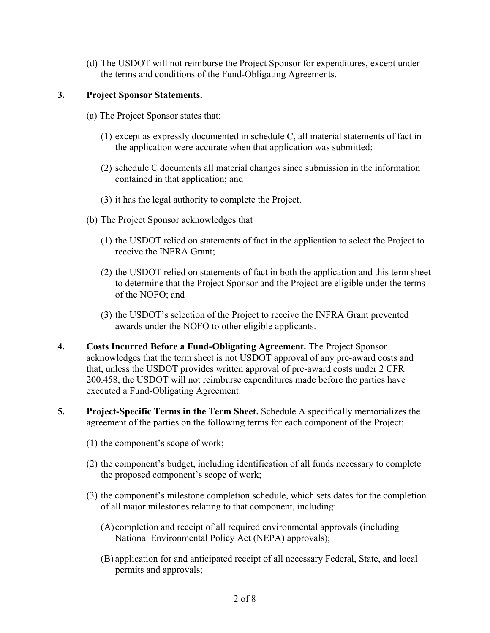(d) The USDOT will not reimburse the Project Sponsor for expenditures, except under the terms and conditions of the Fund-Obligating Agreements.

# **3. Project Sponsor Statements.**

- (a) The Project Sponsor states that:
	- (1) except as expressly documented in schedule C, all material statements of fact in the application were accurate when that application was submitted;
	- (2) schedule C documents all material changes since submission in the information contained in that application; and
	- (3) it has the legal authority to complete the Project.
- (b) The Project Sponsor acknowledges that
	- (1) the USDOT relied on statements of fact in the application to select the Project to receive the INFRA Grant;
	- (2) the USDOT relied on statements of fact in both the application and this term sheet to determine that the Project Sponsor and the Project are eligible under the terms of the NOFO; and
	- (3) the USDOT's selection of the Project to receive the INFRA Grant prevented awards under the NOFO to other eligible applicants.
- **4. Costs Incurred Before a Fund-Obligating Agreement.** The Project Sponsor acknowledges that the term sheet is not USDOT approval of any pre-award costs and that, unless the USDOT provides written approval of pre-award costs under 2 CFR 200.458, the USDOT will not reimburse expenditures made before the parties have executed a Fund-Obligating Agreement.
- **5. Project-Specific Terms in the Term Sheet.** Schedule A specifically memorializes the agreement of the parties on the following terms for each component of the Project:
	- (1) the component's scope of work;
	- (2) the component's budget, including identification of all funds necessary to complete the proposed component's scope of work;
	- (3) the component's milestone completion schedule, which sets dates for the completion of all major milestones relating to that component, including:
		- (A) completion and receipt of all required environmental approvals (including National Environmental Policy Act (NEPA) approvals);
		- (B) application for and anticipated receipt of all necessary Federal, State, and local permits and approvals;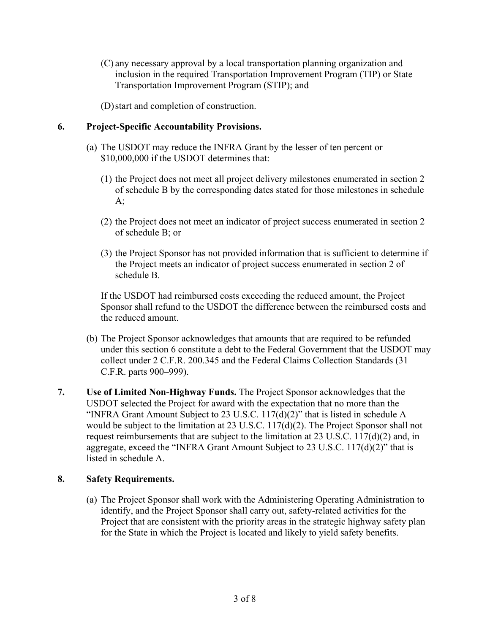(C) any necessary approval by a local transportation planning organization and inclusion in the required Transportation Improvement Program (TIP) or State Transportation Improvement Program (STIP); and

(D)start and completion of construction.

# **6. Project-Specific Accountability Provisions.**

- (a) The USDOT may reduce the INFRA Grant by the lesser of ten percent or \$10,000,000 if the USDOT determines that:
	- (1) the Project does not meet all project delivery milestones enumerated in section 2 of schedule B by the corresponding dates stated for those milestones in schedule  $A$ ;
	- (2) the Project does not meet an indicator of project success enumerated in section 2 of schedule B; or
	- (3) the Project Sponsor has not provided information that is sufficient to determine if the Project meets an indicator of project success enumerated in section 2 of schedule B.

If the USDOT had reimbursed costs exceeding the reduced amount, the Project Sponsor shall refund to the USDOT the difference between the reimbursed costs and the reduced amount.

- (b) The Project Sponsor acknowledges that amounts that are required to be refunded under this section 6 constitute a debt to the Federal Government that the USDOT may collect under 2 C.F.R. 200.345 and the Federal Claims Collection Standards (31 C.F.R. parts 900–999).
- **7. Use of Limited Non-Highway Funds.** The Project Sponsor acknowledges that the USDOT selected the Project for award with the expectation that no more than the "INFRA Grant Amount Subject to 23 U.S.C.  $117(d)(2)$ " that is listed in schedule A would be subject to the limitation at 23 U.S.C. 117(d)(2). The Project Sponsor shall not request reimbursements that are subject to the limitation at 23 U.S.C. 117(d)(2) and, in aggregate, exceed the "INFRA Grant Amount Subject to 23 U.S.C. 117(d)(2)" that is listed in schedule A.

## **8. Safety Requirements.**

(a) The Project Sponsor shall work with the Administering Operating Administration to identify, and the Project Sponsor shall carry out, safety-related activities for the Project that are consistent with the priority areas in the strategic highway safety plan for the State in which the Project is located and likely to yield safety benefits.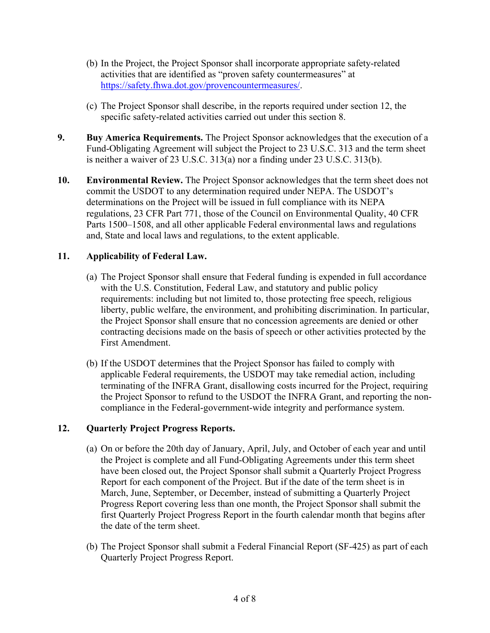- (b) In the Project, the Project Sponsor shall incorporate appropriate safety-related activities that are identified as "proven safety countermeasures" at [https://safety.fhwa.dot.gov/provencountermeasures/.](https://safety.fhwa.dot.gov/provencountermeasures/)
- (c) The Project Sponsor shall describe, in the reports required under section 12, the specific safety-related activities carried out under this section 8.
- **9. Buy America Requirements.** The Project Sponsor acknowledges that the execution of a Fund-Obligating Agreement will subject the Project to 23 U.S.C. 313 and the term sheet is neither a waiver of 23 U.S.C. 313(a) nor a finding under 23 U.S.C. 313(b).
- **10. Environmental Review.** The Project Sponsor acknowledges that the term sheet does not commit the USDOT to any determination required under NEPA. The USDOT's determinations on the Project will be issued in full compliance with its NEPA regulations, 23 CFR Part 771, those of the Council on Environmental Quality, 40 CFR Parts 1500–1508, and all other applicable Federal environmental laws and regulations and, State and local laws and regulations, to the extent applicable.

## **11. Applicability of Federal Law.**

- (a) The Project Sponsor shall ensure that Federal funding is expended in full accordance with the U.S. Constitution, Federal Law, and statutory and public policy requirements: including but not limited to, those protecting free speech, religious liberty, public welfare, the environment, and prohibiting discrimination. In particular, the Project Sponsor shall ensure that no concession agreements are denied or other contracting decisions made on the basis of speech or other activities protected by the First Amendment.
- (b) If the USDOT determines that the Project Sponsor has failed to comply with applicable Federal requirements, the USDOT may take remedial action, including terminating of the INFRA Grant, disallowing costs incurred for the Project, requiring the Project Sponsor to refund to the USDOT the INFRA Grant, and reporting the noncompliance in the Federal-government-wide integrity and performance system.

## **12. Quarterly Project Progress Reports.**

- (a) On or before the 20th day of January, April, July, and October of each year and until the Project is complete and all Fund-Obligating Agreements under this term sheet have been closed out, the Project Sponsor shall submit a Quarterly Project Progress Report for each component of the Project. But if the date of the term sheet is in March, June, September, or December, instead of submitting a Quarterly Project Progress Report covering less than one month, the Project Sponsor shall submit the first Quarterly Project Progress Report in the fourth calendar month that begins after the date of the term sheet.
- (b) The Project Sponsor shall submit a Federal Financial Report (SF-425) as part of each Quarterly Project Progress Report.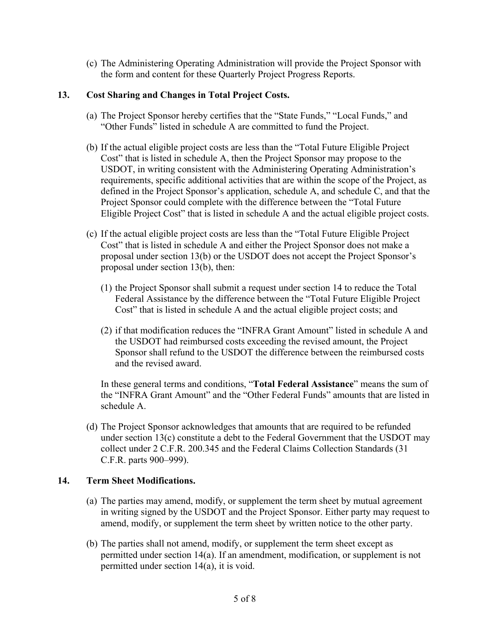(c) The Administering Operating Administration will provide the Project Sponsor with the form and content for these Quarterly Project Progress Reports.

# **13. Cost Sharing and Changes in Total Project Costs.**

- (a) The Project Sponsor hereby certifies that the "State Funds," "Local Funds," and "Other Funds" listed in schedule A are committed to fund the Project.
- (b) If the actual eligible project costs are less than the "Total Future Eligible Project Cost" that is listed in schedule A, then the Project Sponsor may propose to the USDOT, in writing consistent with the Administering Operating Administration's requirements, specific additional activities that are within the scope of the Project, as defined in the Project Sponsor's application, schedule A, and schedule C, and that the Project Sponsor could complete with the difference between the "Total Future Eligible Project Cost" that is listed in schedule A and the actual eligible project costs.
- (c) If the actual eligible project costs are less than the "Total Future Eligible Project Cost" that is listed in schedule A and either the Project Sponsor does not make a proposal under section 13(b) or the USDOT does not accept the Project Sponsor's proposal under section 13(b), then:
	- (1) the Project Sponsor shall submit a request under section 14 to reduce the Total Federal Assistance by the difference between the "Total Future Eligible Project Cost" that is listed in schedule A and the actual eligible project costs; and
	- (2) if that modification reduces the "INFRA Grant Amount" listed in schedule A and the USDOT had reimbursed costs exceeding the revised amount, the Project Sponsor shall refund to the USDOT the difference between the reimbursed costs and the revised award.

In these general terms and conditions, "**Total Federal Assistance**" means the sum of the "INFRA Grant Amount" and the "Other Federal Funds" amounts that are listed in schedule A.

(d) The Project Sponsor acknowledges that amounts that are required to be refunded under section 13(c) constitute a debt to the Federal Government that the USDOT may collect under 2 C.F.R. 200.345 and the Federal Claims Collection Standards (31 C.F.R. parts 900–999).

## **14. Term Sheet Modifications.**

- (a) The parties may amend, modify, or supplement the term sheet by mutual agreement in writing signed by the USDOT and the Project Sponsor. Either party may request to amend, modify, or supplement the term sheet by written notice to the other party.
- (b) The parties shall not amend, modify, or supplement the term sheet except as permitted under section 14(a). If an amendment, modification, or supplement is not permitted under section 14(a), it is void.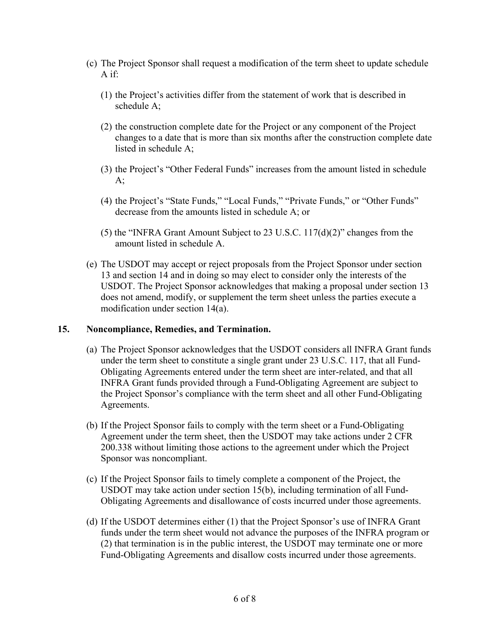- (c) The Project Sponsor shall request a modification of the term sheet to update schedule A if:
	- (1) the Project's activities differ from the statement of work that is described in schedule A;
	- (2) the construction complete date for the Project or any component of the Project changes to a date that is more than six months after the construction complete date listed in schedule A;
	- (3) the Project's "Other Federal Funds" increases from the amount listed in schedule  $A$ ;
	- (4) the Project's "State Funds," "Local Funds," "Private Funds," or "Other Funds" decrease from the amounts listed in schedule A; or
	- (5) the "INFRA Grant Amount Subject to 23 U.S.C. 117(d)(2)" changes from the amount listed in schedule A.
- (e) The USDOT may accept or reject proposals from the Project Sponsor under section 13 and section 14 and in doing so may elect to consider only the interests of the USDOT. The Project Sponsor acknowledges that making a proposal under section 13 does not amend, modify, or supplement the term sheet unless the parties execute a modification under section 14(a).

## **15. Noncompliance, Remedies, and Termination.**

- (a) The Project Sponsor acknowledges that the USDOT considers all INFRA Grant funds under the term sheet to constitute a single grant under 23 U.S.C. 117, that all Fund-Obligating Agreements entered under the term sheet are inter-related, and that all INFRA Grant funds provided through a Fund-Obligating Agreement are subject to the Project Sponsor's compliance with the term sheet and all other Fund-Obligating Agreements.
- (b) If the Project Sponsor fails to comply with the term sheet or a Fund-Obligating Agreement under the term sheet, then the USDOT may take actions under 2 CFR 200.338 without limiting those actions to the agreement under which the Project Sponsor was noncompliant.
- (c) If the Project Sponsor fails to timely complete a component of the Project, the USDOT may take action under section 15(b), including termination of all Fund-Obligating Agreements and disallowance of costs incurred under those agreements.
- (d) If the USDOT determines either (1) that the Project Sponsor's use of INFRA Grant funds under the term sheet would not advance the purposes of the INFRA program or (2) that termination is in the public interest, the USDOT may terminate one or more Fund-Obligating Agreements and disallow costs incurred under those agreements.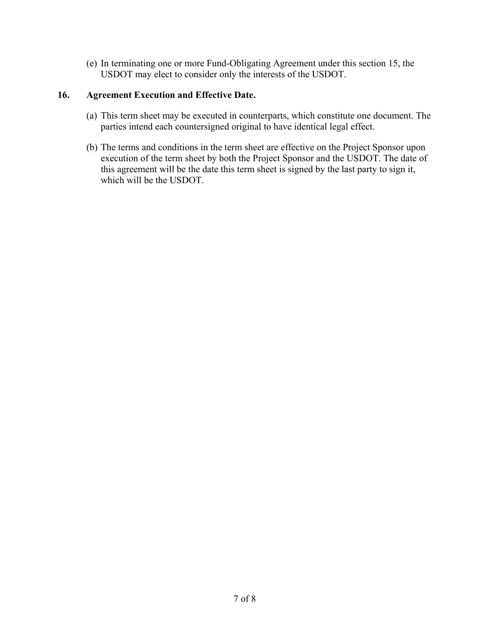(e) In terminating one or more Fund-Obligating Agreement under this section 15, the USDOT may elect to consider only the interests of the USDOT.

### **16. Agreement Execution and Effective Date.**

- (a) This term sheet may be executed in counterparts, which constitute one document. The parties intend each countersigned original to have identical legal effect.
- (b) The terms and conditions in the term sheet are effective on the Project Sponsor upon execution of the term sheet by both the Project Sponsor and the USDOT. The date of this agreement will be the date this term sheet is signed by the last party to sign it, which will be the USDOT.